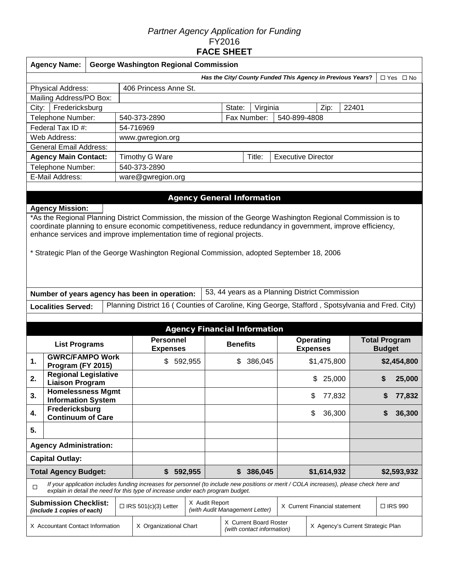## *Partner Agency Application for Funding*  FY2016 **FACE SHEET**

|                                     | <b>Agency Name:</b>                                                                                                                                                                                                                                                                                                                                                                                                            |  |                                     | <b>George Washington Regional Commission</b>                                                                                                                                                                                |                |                 |                                                      |          |                                                            |                               |             |                                       |           |                      |
|-------------------------------------|--------------------------------------------------------------------------------------------------------------------------------------------------------------------------------------------------------------------------------------------------------------------------------------------------------------------------------------------------------------------------------------------------------------------------------|--|-------------------------------------|-----------------------------------------------------------------------------------------------------------------------------------------------------------------------------------------------------------------------------|----------------|-----------------|------------------------------------------------------|----------|------------------------------------------------------------|-------------------------------|-------------|---------------------------------------|-----------|----------------------|
|                                     |                                                                                                                                                                                                                                                                                                                                                                                                                                |  |                                     |                                                                                                                                                                                                                             |                |                 |                                                      |          | Has the City/ County Funded This Agency in Previous Years? |                               |             |                                       |           | $\Box$ Yes $\Box$ No |
|                                     | Physical Address:                                                                                                                                                                                                                                                                                                                                                                                                              |  |                                     | 406 Princess Anne St.                                                                                                                                                                                                       |                |                 |                                                      |          |                                                            |                               |             |                                       |           |                      |
|                                     | Mailing Address/PO Box:                                                                                                                                                                                                                                                                                                                                                                                                        |  |                                     |                                                                                                                                                                                                                             |                |                 |                                                      |          |                                                            |                               |             |                                       |           |                      |
| City:                               | Fredericksburg                                                                                                                                                                                                                                                                                                                                                                                                                 |  |                                     |                                                                                                                                                                                                                             |                |                 | State:                                               | Virginia |                                                            |                               | Zip:        | 22401                                 |           |                      |
|                                     | Telephone Number:                                                                                                                                                                                                                                                                                                                                                                                                              |  |                                     | 540-373-2890                                                                                                                                                                                                                |                |                 | Fax Number:                                          |          | 540-899-4808                                               |                               |             |                                       |           |                      |
|                                     | Federal Tax ID #:                                                                                                                                                                                                                                                                                                                                                                                                              |  |                                     | 54-716969                                                                                                                                                                                                                   |                |                 |                                                      |          |                                                            |                               |             |                                       |           |                      |
|                                     | Web Address:                                                                                                                                                                                                                                                                                                                                                                                                                   |  |                                     | www.gwregion.org                                                                                                                                                                                                            |                |                 |                                                      |          |                                                            |                               |             |                                       |           |                      |
|                                     | <b>General Email Address:</b>                                                                                                                                                                                                                                                                                                                                                                                                  |  |                                     |                                                                                                                                                                                                                             |                |                 |                                                      |          |                                                            |                               |             |                                       |           |                      |
|                                     | <b>Agency Main Contact:</b>                                                                                                                                                                                                                                                                                                                                                                                                    |  |                                     | Timothy G Ware                                                                                                                                                                                                              |                |                 |                                                      | Title:   | <b>Executive Director</b>                                  |                               |             |                                       |           |                      |
|                                     | Telephone Number:                                                                                                                                                                                                                                                                                                                                                                                                              |  |                                     | 540-373-2890                                                                                                                                                                                                                |                |                 |                                                      |          |                                                            |                               |             |                                       |           |                      |
|                                     | E-Mail Address:                                                                                                                                                                                                                                                                                                                                                                                                                |  |                                     | ware@gwregion.org                                                                                                                                                                                                           |                |                 |                                                      |          |                                                            |                               |             |                                       |           |                      |
|                                     |                                                                                                                                                                                                                                                                                                                                                                                                                                |  |                                     |                                                                                                                                                                                                                             |                |                 |                                                      |          |                                                            |                               |             |                                       |           |                      |
|                                     | <b>Agency Mission:</b><br>*As the Regional Planning District Commission, the mission of the George Washington Regional Commission is to<br>coordinate planning to ensure economic competitiveness, reduce redundancy in government, improve efficiency,<br>enhance services and improve implementation time of regional projects.<br>* Strategic Plan of the George Washington Regional Commission, adopted September 18, 2006 |  |                                     |                                                                                                                                                                                                                             |                |                 |                                                      |          |                                                            |                               |             |                                       |           |                      |
|                                     | 53, 44 years as a Planning District Commission<br>Number of years agency has been in operation:<br>Planning District 16 (Counties of Caroline, King George, Stafford, Spotsylvania and Fred. City)                                                                                                                                                                                                                             |  |                                     |                                                                                                                                                                                                                             |                |                 |                                                      |          |                                                            |                               |             |                                       |           |                      |
|                                     | <b>Localities Served:</b>                                                                                                                                                                                                                                                                                                                                                                                                      |  |                                     |                                                                                                                                                                                                                             |                |                 |                                                      |          |                                                            |                               |             |                                       |           |                      |
|                                     |                                                                                                                                                                                                                                                                                                                                                                                                                                |  |                                     |                                                                                                                                                                                                                             |                |                 |                                                      |          |                                                            |                               |             |                                       |           |                      |
| <b>Agency Financial Information</b> |                                                                                                                                                                                                                                                                                                                                                                                                                                |  |                                     |                                                                                                                                                                                                                             |                |                 |                                                      |          |                                                            |                               |             |                                       |           |                      |
| <b>List Programs</b>                |                                                                                                                                                                                                                                                                                                                                                                                                                                |  | <b>Personnel</b><br><b>Expenses</b> |                                                                                                                                                                                                                             |                | <b>Benefits</b> |                                                      |          | Operating<br><b>Expenses</b>                               |                               |             | <b>Total Program</b><br><b>Budget</b> |           |                      |
| 1.                                  | <b>GWRC/FAMPO Work</b><br>Program (FY 2015)                                                                                                                                                                                                                                                                                                                                                                                    |  |                                     | 592,955<br>\$                                                                                                                                                                                                               |                |                 | \$                                                   | 386,045  |                                                            | \$1,475,800                   |             | \$2,454,800                           |           |                      |
| 2.                                  | <b>Regional Legislative</b><br><b>Liaison Program</b>                                                                                                                                                                                                                                                                                                                                                                          |  |                                     |                                                                                                                                                                                                                             |                |                 |                                                      |          |                                                            |                               | \$25,000    |                                       | \$        | 25,000               |
| 3.                                  | <b>Homelessness Mgmt</b><br><b>Information System</b>                                                                                                                                                                                                                                                                                                                                                                          |  |                                     |                                                                                                                                                                                                                             |                |                 |                                                      |          |                                                            | \$                            | 77,832      |                                       |           | 77,832               |
| 4.                                  | Fredericksburg<br><b>Continuum of Care</b>                                                                                                                                                                                                                                                                                                                                                                                     |  |                                     |                                                                                                                                                                                                                             |                |                 |                                                      |          |                                                            | \$                            | 36,300      |                                       | S         | 36,300               |
| 5.                                  |                                                                                                                                                                                                                                                                                                                                                                                                                                |  |                                     |                                                                                                                                                                                                                             |                |                 |                                                      |          |                                                            |                               |             |                                       |           |                      |
| <b>Agency Administration:</b>       |                                                                                                                                                                                                                                                                                                                                                                                                                                |  |                                     |                                                                                                                                                                                                                             |                |                 |                                                      |          |                                                            |                               |             |                                       |           |                      |
| <b>Capital Outlay:</b>              |                                                                                                                                                                                                                                                                                                                                                                                                                                |  |                                     |                                                                                                                                                                                                                             |                |                 |                                                      |          |                                                            |                               |             |                                       |           |                      |
|                                     | <b>Total Agency Budget:</b>                                                                                                                                                                                                                                                                                                                                                                                                    |  |                                     | \$                                                                                                                                                                                                                          | 592,955        |                 | \$                                                   | 386,045  |                                                            |                               | \$1,614,932 |                                       |           | \$2,593,932          |
| $\Box$                              |                                                                                                                                                                                                                                                                                                                                                                                                                                |  |                                     | If your application includes funding increases for personnel (to include new positions or merit / COLA increases), please check here and<br>explain in detail the need for this type of increase under each program budget. |                |                 |                                                      |          |                                                            |                               |             |                                       |           |                      |
|                                     | <b>Submission Checklist:</b><br>(include 1 copies of each)                                                                                                                                                                                                                                                                                                                                                                     |  |                                     | $\Box$ IRS 501(c)(3) Letter                                                                                                                                                                                                 | X Audit Report |                 | (with Audit Management Letter)                       |          |                                                            | X Current Financial statement |             |                                       | □ IRS 990 |                      |
| X Accountant Contact Information    |                                                                                                                                                                                                                                                                                                                                                                                                                                |  |                                     | X Organizational Chart                                                                                                                                                                                                      |                |                 | X Current Board Roster<br>(with contact information) |          |                                                            |                               |             | X Agency's Current Strategic Plan     |           |                      |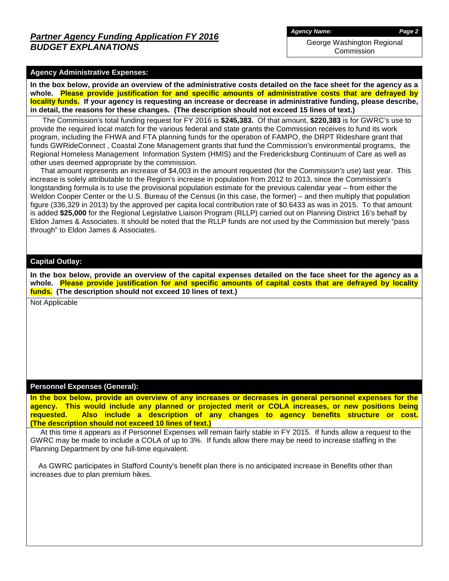George Washington Regional **Commission** 

### **Agency Administrative Expenses:**

**In the box below, provide an overview of the administrative costs detailed on the face sheet for the agency as a whole. Please provide justification for and specific amounts of administrative costs that are defrayed by locality funds. If your agency is requesting an increase or decrease in administrative funding, please describe, in detail, the reasons for these changes. (The description should not exceed 15 lines of text.)**

 The Commission's total funding request for FY 2016 is **\$245,383.** Of that amount, **\$220,383** is for GWRC's use to provide the required local match for the various federal and state grants the Commission receives to fund its work program, including the FHWA and FTA planning funds for the operation of FAMPO, the DRPT Rideshare grant that funds GWRideConnect , Coastal Zone Management grants that fund the Commission's environmental programs, the Regional Homeless Management Information System (HMIS) and the Fredericksburg Continuum of Care as well as other uses deemed appropriate by the commission.

 That amount represents an increase of \$4,003 in the amount requested (for the *Commission's use*) last year. This increase is solely attributable to the Region's increase in population from 2012 to 2013, since the Commission's longstanding formula is to use the provisional population estimate for the previous calendar year – from either the Weldon Cooper Center or the U.S. Bureau of the Census (in this case, the former) – and then multiply that population figure (336,329 in 2013) by the approved per capita local contribution rate of \$0.6433 as was in 2015. To that amount is added **\$25,000** for the Regional Legislative Liaison Program (RLLP) carried out on Planning District 16's behalf by Eldon James & Associates. It should be noted that the RLLP funds are not used by the Commission but merely "pass through" to Eldon James & Associates.

#### **Capital Outlay:**

**In the box below, provide an overview of the capital expenses detailed on the face sheet for the agency as a whole. Please provide justification for and specific amounts of capital costs that are defrayed by locality funds. (The description should not exceed 10 lines of text.)**

Not Applicable

### **Personnel Expenses (General):**

**In the box below, provide an overview of any increases or decreases in general personnel expenses for the agency. This would include any planned or projected merit or COLA increases, or new positions being requested. Also include a description of any changes to agency benefits structure or cost. (The description should not exceed 10 lines of text.)**

 At this time it appears as if Personnel Expenses will remain fairly stable in FY 2015. If funds allow a request to the GWRC may be made to include a COLA of up to 3%. If funds allow there may be need to increase staffing in the Planning Department by one full-time equivalent.

 As GWRC participates in Stafford County's benefit plan there is no anticipated increase in Benefits other than increases due to plan premium hikes.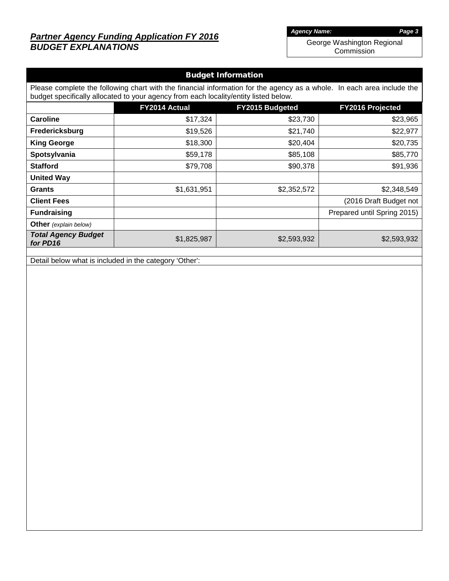# *Partner Agency Funding Application FY 2016 BUDGET EXPLANATIONS*

*Agency Name: Page 3*

George Washington Regional Commission

| <b>Budget Information</b>                                                                                                                                                                                      |               |                        |                             |  |  |  |  |  |
|----------------------------------------------------------------------------------------------------------------------------------------------------------------------------------------------------------------|---------------|------------------------|-----------------------------|--|--|--|--|--|
| Please complete the following chart with the financial information for the agency as a whole. In each area include the<br>budget specifically allocated to your agency from each locality/entity listed below. |               |                        |                             |  |  |  |  |  |
|                                                                                                                                                                                                                | FY2014 Actual | <b>FY2015 Budgeted</b> | <b>FY2016 Projected</b>     |  |  |  |  |  |
| <b>Caroline</b>                                                                                                                                                                                                | \$17,324      | \$23,730               | \$23,965                    |  |  |  |  |  |
| Fredericksburg                                                                                                                                                                                                 | \$19,526      | \$21,740               | \$22,977                    |  |  |  |  |  |
| <b>King George</b>                                                                                                                                                                                             | \$18,300      | \$20,404               | \$20,735                    |  |  |  |  |  |
| Spotsylvania                                                                                                                                                                                                   | \$59,178      | \$85,108               | \$85,770                    |  |  |  |  |  |
| <b>Stafford</b>                                                                                                                                                                                                | \$79,708      | \$90,378               | \$91,936                    |  |  |  |  |  |
| <b>United Way</b>                                                                                                                                                                                              |               |                        |                             |  |  |  |  |  |
| <b>Grants</b>                                                                                                                                                                                                  | \$1,631,951   | \$2,352,572            | \$2,348,549                 |  |  |  |  |  |
| <b>Client Fees</b>                                                                                                                                                                                             |               |                        | (2016 Draft Budget not      |  |  |  |  |  |
| <b>Fundraising</b>                                                                                                                                                                                             |               |                        | Prepared until Spring 2015) |  |  |  |  |  |
| <b>Other</b> (explain below)                                                                                                                                                                                   |               |                        |                             |  |  |  |  |  |
| <b>Total Agency Budget</b><br>for PD16                                                                                                                                                                         | \$1,825,987   | \$2,593,932            | \$2,593,932                 |  |  |  |  |  |

Detail below what is included in the category 'Other':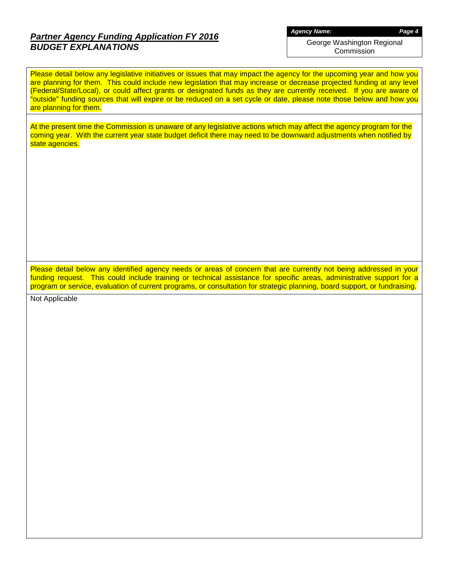## *Partner Agency Funding Application FY 2016 BUDGET EXPLANATIONS*

*Agency Name: Page 4*

George Washington Regional Commission

Please detail below any legislative initiatives or issues that may impact the agency for the upcoming year and how you are planning for them. This could include new legislation that may increase or decrease projected funding at any level (Federal/State/Local), or could affect grants or designated funds as they are currently received. If you are aware of "outside" funding sources that will expire or be reduced on a set cycle or date, please note those below and how you are planning for them.

At the present time the Commission is unaware of any legislative actions which may affect the agency program for the coming year. With the current year state budget deficit there may need to be downward adjustments when notified by state agencies.

Please detail below any identified agency needs or areas of concern that are currently not being addressed in your funding request. This could include training or technical assistance for specific areas, administrative support for a program or service, evaluation of current programs, or consultation for strategic planning, board support, or fundraising.

Not Applicable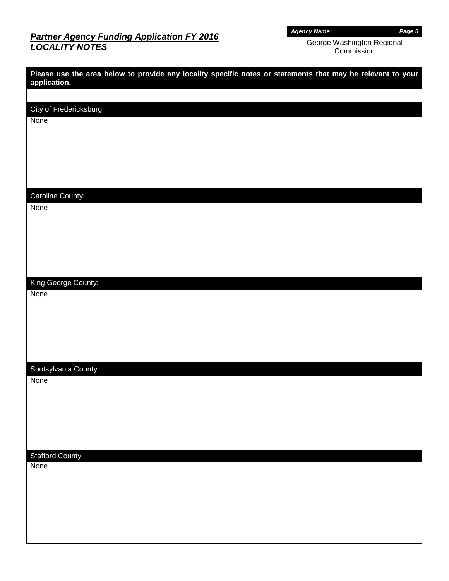# *Partner Agency Funding Application FY 2016 LOCALITY NOTES*

*Agency Name: Page 5*

George Washington Regional Commission

| Please use the area below to provide any locality specific notes or statements that may be relevant to your<br>application. |  |
|-----------------------------------------------------------------------------------------------------------------------------|--|
|                                                                                                                             |  |
| City of Fredericksburg:<br>None                                                                                             |  |
|                                                                                                                             |  |
| Caroline County:                                                                                                            |  |
| None                                                                                                                        |  |
| King George County:                                                                                                         |  |
| None                                                                                                                        |  |
| Spotsylvania County:<br>None                                                                                                |  |
|                                                                                                                             |  |
| <b>Stafford County:</b><br>None                                                                                             |  |
|                                                                                                                             |  |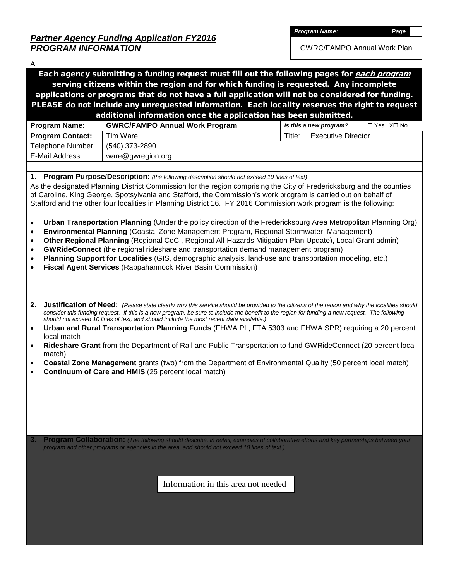GWRC/FAMPO Annual Work Plan

| A                                                                                              |                                                                                                                                                                                                  |                                     |             |  |  |  |  |  |  |  |
|------------------------------------------------------------------------------------------------|--------------------------------------------------------------------------------------------------------------------------------------------------------------------------------------------------|-------------------------------------|-------------|--|--|--|--|--|--|--|
|                                                                                                | Each agency submitting a funding request must fill out the following pages for each program                                                                                                      |                                     |             |  |  |  |  |  |  |  |
| serving citizens within the region and for which funding is requested. Any incomplete          |                                                                                                                                                                                                  |                                     |             |  |  |  |  |  |  |  |
|                                                                                                | applications or programs that do not have a full application will not be considered for funding.                                                                                                 |                                     |             |  |  |  |  |  |  |  |
| PLEASE do not include any unrequested information. Each locality reserves the right to request |                                                                                                                                                                                                  |                                     |             |  |  |  |  |  |  |  |
| additional information once the application has been submitted.                                |                                                                                                                                                                                                  |                                     |             |  |  |  |  |  |  |  |
| <b>Program Name:</b>                                                                           | <b>GWRC/FAMPO Annual Work Program</b>                                                                                                                                                            | Is this a new program?              | □ Yes X□ No |  |  |  |  |  |  |  |
| <b>Program Contact:</b>                                                                        | Tim Ware                                                                                                                                                                                         | <b>Executive Director</b><br>Title: |             |  |  |  |  |  |  |  |
| Telephone Number:                                                                              | (540) 373-2890                                                                                                                                                                                   |                                     |             |  |  |  |  |  |  |  |
| E-Mail Address:                                                                                | ware@gwregion.org                                                                                                                                                                                |                                     |             |  |  |  |  |  |  |  |
|                                                                                                |                                                                                                                                                                                                  |                                     |             |  |  |  |  |  |  |  |
| 1.                                                                                             | <b>Program Purpose/Description:</b> (the following description should not exceed 10 lines of text)                                                                                               |                                     |             |  |  |  |  |  |  |  |
|                                                                                                | As the designated Planning District Commission for the region comprising the City of Fredericksburg and the counties                                                                             |                                     |             |  |  |  |  |  |  |  |
|                                                                                                | of Caroline, King George, Spotsylvania and Stafford, the Commission's work program is carried out on behalf of                                                                                   |                                     |             |  |  |  |  |  |  |  |
|                                                                                                | Stafford and the other four localities in Planning District 16. FY 2016 Commission work program is the following:                                                                                |                                     |             |  |  |  |  |  |  |  |
|                                                                                                |                                                                                                                                                                                                  |                                     |             |  |  |  |  |  |  |  |
| ٠                                                                                              | Urban Transportation Planning (Under the policy direction of the Fredericksburg Area Metropolitan Planning Org)                                                                                  |                                     |             |  |  |  |  |  |  |  |
| ٠                                                                                              | Environmental Planning (Coastal Zone Management Program, Regional Stormwater Management)                                                                                                         |                                     |             |  |  |  |  |  |  |  |
| ٠                                                                                              | Other Regional Planning (Regional CoC, Regional All-Hazards Mitigation Plan Update), Local Grant admin)                                                                                          |                                     |             |  |  |  |  |  |  |  |
| $\bullet$<br>٠                                                                                 | GWRideConnect (the regional rideshare and transportation demand management program)<br>Planning Support for Localities (GIS, demographic analysis, land-use and transportation modeling, etc.)   |                                     |             |  |  |  |  |  |  |  |
|                                                                                                | Fiscal Agent Services (Rappahannock River Basin Commission)                                                                                                                                      |                                     |             |  |  |  |  |  |  |  |
|                                                                                                |                                                                                                                                                                                                  |                                     |             |  |  |  |  |  |  |  |
|                                                                                                |                                                                                                                                                                                                  |                                     |             |  |  |  |  |  |  |  |
|                                                                                                |                                                                                                                                                                                                  |                                     |             |  |  |  |  |  |  |  |
| 2.                                                                                             | Justification of Need: (Please state clearly why this service should be provided to the citizens of the region and why the localities should                                                     |                                     |             |  |  |  |  |  |  |  |
|                                                                                                | consider this funding request. If this is a new program, be sure to include the benefit to the region for funding a new request. The following                                                   |                                     |             |  |  |  |  |  |  |  |
|                                                                                                | should not exceed 10 lines of text, and should include the most recent data available.)<br>Urban and Rural Transportation Planning Funds (FHWA PL, FTA 5303 and FHWA SPR) requiring a 20 percent |                                     |             |  |  |  |  |  |  |  |
| $\bullet$<br>local match                                                                       |                                                                                                                                                                                                  |                                     |             |  |  |  |  |  |  |  |
| $\bullet$                                                                                      | Rideshare Grant from the Department of Rail and Public Transportation to fund GWRideConnect (20 percent local                                                                                    |                                     |             |  |  |  |  |  |  |  |
| match)                                                                                         |                                                                                                                                                                                                  |                                     |             |  |  |  |  |  |  |  |
|                                                                                                | Coastal Zone Management grants (two) from the Department of Environmental Quality (50 percent local match)                                                                                       |                                     |             |  |  |  |  |  |  |  |
|                                                                                                | Continuum of Care and HMIS (25 percent local match)                                                                                                                                              |                                     |             |  |  |  |  |  |  |  |
|                                                                                                |                                                                                                                                                                                                  |                                     |             |  |  |  |  |  |  |  |
|                                                                                                |                                                                                                                                                                                                  |                                     |             |  |  |  |  |  |  |  |
|                                                                                                |                                                                                                                                                                                                  |                                     |             |  |  |  |  |  |  |  |
|                                                                                                |                                                                                                                                                                                                  |                                     |             |  |  |  |  |  |  |  |
|                                                                                                |                                                                                                                                                                                                  |                                     |             |  |  |  |  |  |  |  |
|                                                                                                |                                                                                                                                                                                                  |                                     |             |  |  |  |  |  |  |  |
| 3.                                                                                             | Program Collaboration: (The following should describe, in detail, examples of collaborative efforts and key partnerships between your                                                            |                                     |             |  |  |  |  |  |  |  |
|                                                                                                | program and other programs or agencies in the area, and should not exceed 10 lines of text.)                                                                                                     |                                     |             |  |  |  |  |  |  |  |
|                                                                                                |                                                                                                                                                                                                  |                                     |             |  |  |  |  |  |  |  |
|                                                                                                |                                                                                                                                                                                                  |                                     |             |  |  |  |  |  |  |  |
| Information in this area not needed                                                            |                                                                                                                                                                                                  |                                     |             |  |  |  |  |  |  |  |
|                                                                                                |                                                                                                                                                                                                  |                                     |             |  |  |  |  |  |  |  |
|                                                                                                |                                                                                                                                                                                                  |                                     |             |  |  |  |  |  |  |  |
|                                                                                                |                                                                                                                                                                                                  |                                     |             |  |  |  |  |  |  |  |
|                                                                                                |                                                                                                                                                                                                  |                                     |             |  |  |  |  |  |  |  |
|                                                                                                |                                                                                                                                                                                                  |                                     |             |  |  |  |  |  |  |  |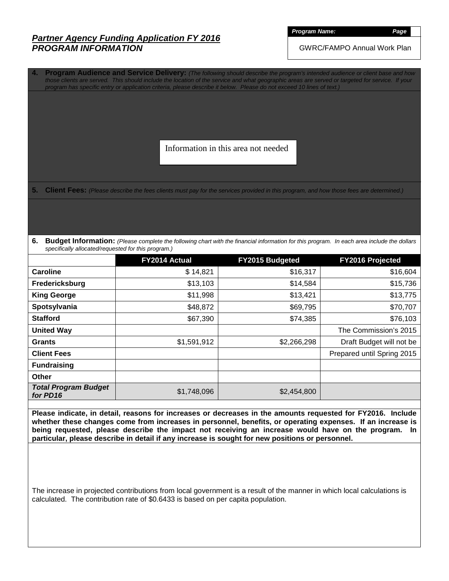*Program Name: Page*

GWRC/FAMPO Annual Work Plan

**4. Program Audience and Service Delivery:** *(The following should describe the program's intended audience or client base and how those clients are served. This should include the location of the service and what geographic areas are served or targeted for service. If your program has specific entry or application criteria, please describe it below. Please do not exceed 10 lines of text.)*

Information in this area not needed

**5. Client Fees:** *(Please describe the fees clients must pay for the services provided in this program, and how those fees are determined.)*

**6.** Budget Information: (Please complete the following chart with the financial information for this program. In each area include the dollars *specifically allocated/requested for this program.)*

|                                         | FY2014 Actual | FY2015 Budgeted | FY2016 Projected           |
|-----------------------------------------|---------------|-----------------|----------------------------|
| Caroline                                | \$14,821      | \$16,317        | \$16,604                   |
| Fredericksburg                          | \$13,103      | \$14,584        | \$15,736                   |
| <b>King George</b>                      | \$11,998      | \$13,421        | \$13,775                   |
| Spotsylvania                            | \$48,872      | \$69,795        | \$70,707                   |
| <b>Stafford</b>                         | \$67,390      | \$74,385        | \$76,103                   |
| <b>United Way</b>                       |               |                 | The Commission's 2015      |
| <b>Grants</b>                           | \$1,591,912   | \$2,266,298     | Draft Budget will not be   |
| <b>Client Fees</b>                      |               |                 | Prepared until Spring 2015 |
| <b>Fundraising</b>                      |               |                 |                            |
| <b>Other</b>                            |               |                 |                            |
| <b>Total Program Budget</b><br>for PD16 | \$1,748,096   | \$2,454,800     |                            |

**Please indicate, in detail, reasons for increases or decreases in the amounts requested for FY2016. Include whether these changes come from increases in personnel, benefits, or operating expenses. If an increase is being requested, please describe the impact not receiving an increase would have on the program. In particular, please describe in detail if any increase is sought for new positions or personnel.**

The increase in projected contributions from local government is a result of the manner in which local calculations is calculated. The contribution rate of \$0.6433 is based on per capita population.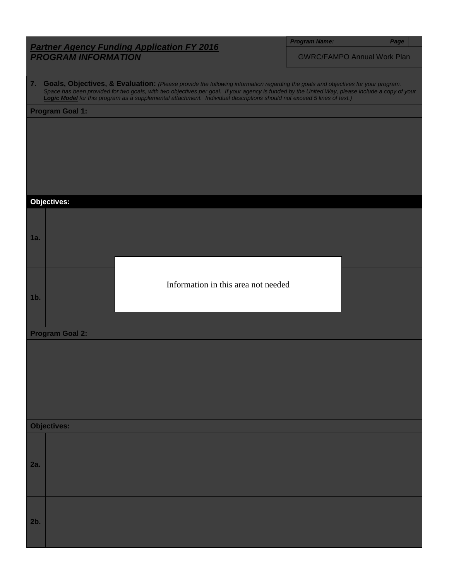| <b>Program Name</b> |  |
|---------------------|--|
|                     |  |
|                     |  |

*Program Name: Page*

GWRC/FAMPO Annual Work Plan

**7. Goals, Objectives, & Evaluation:** *(Please provide the following information regarding the goals and objectives for your program. Space has been provided for two goals, with two objectives per goal. If your agency is funded by the United Way, please include a copy of your Logic Model for this program as a supplemental attachment. Individual descriptions should not exceed 5 lines of text.)*

**Program Goal 1:**

**Objectives: 1a. 1b. Program Goal 2: Objectives: 2a. 2b.** Information in this area not needed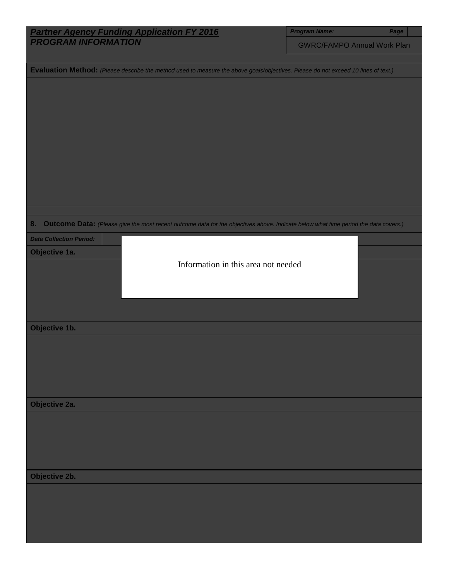| <b>Partner Agency Funding Application FY 2016</b>                                                                                         | <b>Program Name:</b>               | Page |
|-------------------------------------------------------------------------------------------------------------------------------------------|------------------------------------|------|
| <b>PROGRAM INFORMATION</b>                                                                                                                | <b>GWRC/FAMPO Annual Work Plan</b> |      |
|                                                                                                                                           |                                    |      |
| Evaluation Method: (Please describe the method used to measure the above goals/objectives. Please do not exceed 10 lines of text.)        |                                    |      |
|                                                                                                                                           |                                    |      |
|                                                                                                                                           |                                    |      |
|                                                                                                                                           |                                    |      |
|                                                                                                                                           |                                    |      |
|                                                                                                                                           |                                    |      |
|                                                                                                                                           |                                    |      |
|                                                                                                                                           |                                    |      |
|                                                                                                                                           |                                    |      |
|                                                                                                                                           |                                    |      |
|                                                                                                                                           |                                    |      |
|                                                                                                                                           |                                    |      |
| 8.<br>Outcome Data: (Please give the most recent outcome data for the objectives above. Indicate below what time period the data covers.) |                                    |      |
| <b>Data Collection Period:</b>                                                                                                            |                                    |      |
| Objective 1a.                                                                                                                             |                                    |      |
| Information in this area not needed                                                                                                       |                                    |      |
|                                                                                                                                           |                                    |      |
|                                                                                                                                           |                                    |      |
|                                                                                                                                           |                                    |      |
|                                                                                                                                           |                                    |      |
| Objective 1b.                                                                                                                             |                                    |      |
|                                                                                                                                           |                                    |      |
|                                                                                                                                           |                                    |      |
|                                                                                                                                           |                                    |      |
|                                                                                                                                           |                                    |      |
|                                                                                                                                           |                                    |      |
| Objective 2a.                                                                                                                             |                                    |      |
|                                                                                                                                           |                                    |      |
|                                                                                                                                           |                                    |      |
|                                                                                                                                           |                                    |      |
|                                                                                                                                           |                                    |      |
| Objective 2b.                                                                                                                             |                                    |      |
|                                                                                                                                           |                                    |      |
|                                                                                                                                           |                                    |      |
|                                                                                                                                           |                                    |      |
|                                                                                                                                           |                                    |      |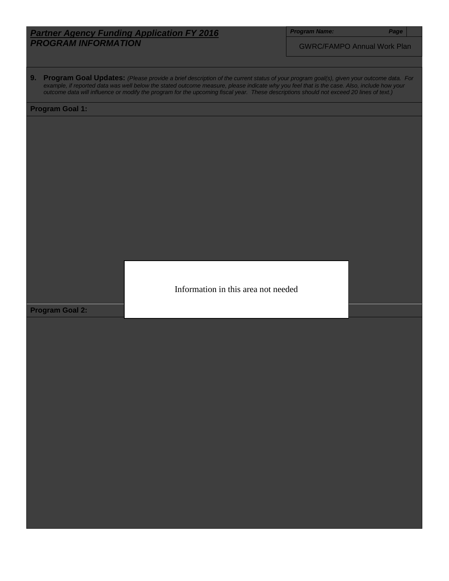*Program Name: Page*

GWRC/FAMPO Annual Work Plan

**9. Program Goal Updates:** *(Please provide a brief description of the current status of your program goal(s), given your outcome data. For example, if reported data was well below the stated outcome measure, please indicate why you feel that is the case. Also, include how your outcome data will influence or modify the program for the upcoming fiscal year. These descriptions should not exceed 20 lines of text.)*

#### **Program Goal 1:**

Information in this area not needed

**Program Goal 2:**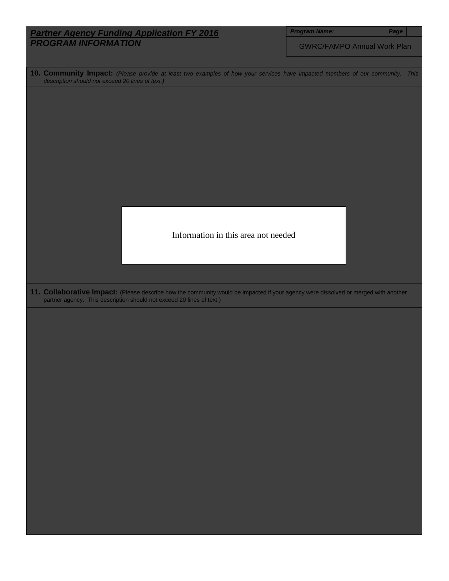| <b>Program Name:</b><br><b>Partner Agency Funding Application FY 2016</b><br>Page<br><b>PROGRAM INFORMATION</b><br><b>GWRC/FAMPO Annual Work Plan</b><br>10. Community Impact: (Please provide at least two examples of how your services have impacted members of our community. This<br>description should not exceed 20 lines of text.)<br>Information in this area not needed<br>11. Collaborative Impact: (Please describe how the community would be impacted if your agency were dissolved or merged with another<br>partner agency. This description should not exceed 20 lines of text.) |
|---------------------------------------------------------------------------------------------------------------------------------------------------------------------------------------------------------------------------------------------------------------------------------------------------------------------------------------------------------------------------------------------------------------------------------------------------------------------------------------------------------------------------------------------------------------------------------------------------|
|                                                                                                                                                                                                                                                                                                                                                                                                                                                                                                                                                                                                   |
|                                                                                                                                                                                                                                                                                                                                                                                                                                                                                                                                                                                                   |
|                                                                                                                                                                                                                                                                                                                                                                                                                                                                                                                                                                                                   |
|                                                                                                                                                                                                                                                                                                                                                                                                                                                                                                                                                                                                   |
|                                                                                                                                                                                                                                                                                                                                                                                                                                                                                                                                                                                                   |
|                                                                                                                                                                                                                                                                                                                                                                                                                                                                                                                                                                                                   |
|                                                                                                                                                                                                                                                                                                                                                                                                                                                                                                                                                                                                   |
|                                                                                                                                                                                                                                                                                                                                                                                                                                                                                                                                                                                                   |
|                                                                                                                                                                                                                                                                                                                                                                                                                                                                                                                                                                                                   |
|                                                                                                                                                                                                                                                                                                                                                                                                                                                                                                                                                                                                   |
|                                                                                                                                                                                                                                                                                                                                                                                                                                                                                                                                                                                                   |
|                                                                                                                                                                                                                                                                                                                                                                                                                                                                                                                                                                                                   |
|                                                                                                                                                                                                                                                                                                                                                                                                                                                                                                                                                                                                   |
|                                                                                                                                                                                                                                                                                                                                                                                                                                                                                                                                                                                                   |
|                                                                                                                                                                                                                                                                                                                                                                                                                                                                                                                                                                                                   |
|                                                                                                                                                                                                                                                                                                                                                                                                                                                                                                                                                                                                   |
|                                                                                                                                                                                                                                                                                                                                                                                                                                                                                                                                                                                                   |
|                                                                                                                                                                                                                                                                                                                                                                                                                                                                                                                                                                                                   |
|                                                                                                                                                                                                                                                                                                                                                                                                                                                                                                                                                                                                   |
|                                                                                                                                                                                                                                                                                                                                                                                                                                                                                                                                                                                                   |
|                                                                                                                                                                                                                                                                                                                                                                                                                                                                                                                                                                                                   |
|                                                                                                                                                                                                                                                                                                                                                                                                                                                                                                                                                                                                   |
|                                                                                                                                                                                                                                                                                                                                                                                                                                                                                                                                                                                                   |
|                                                                                                                                                                                                                                                                                                                                                                                                                                                                                                                                                                                                   |
|                                                                                                                                                                                                                                                                                                                                                                                                                                                                                                                                                                                                   |
|                                                                                                                                                                                                                                                                                                                                                                                                                                                                                                                                                                                                   |
|                                                                                                                                                                                                                                                                                                                                                                                                                                                                                                                                                                                                   |
|                                                                                                                                                                                                                                                                                                                                                                                                                                                                                                                                                                                                   |
|                                                                                                                                                                                                                                                                                                                                                                                                                                                                                                                                                                                                   |
|                                                                                                                                                                                                                                                                                                                                                                                                                                                                                                                                                                                                   |
|                                                                                                                                                                                                                                                                                                                                                                                                                                                                                                                                                                                                   |
|                                                                                                                                                                                                                                                                                                                                                                                                                                                                                                                                                                                                   |
|                                                                                                                                                                                                                                                                                                                                                                                                                                                                                                                                                                                                   |
|                                                                                                                                                                                                                                                                                                                                                                                                                                                                                                                                                                                                   |
|                                                                                                                                                                                                                                                                                                                                                                                                                                                                                                                                                                                                   |
|                                                                                                                                                                                                                                                                                                                                                                                                                                                                                                                                                                                                   |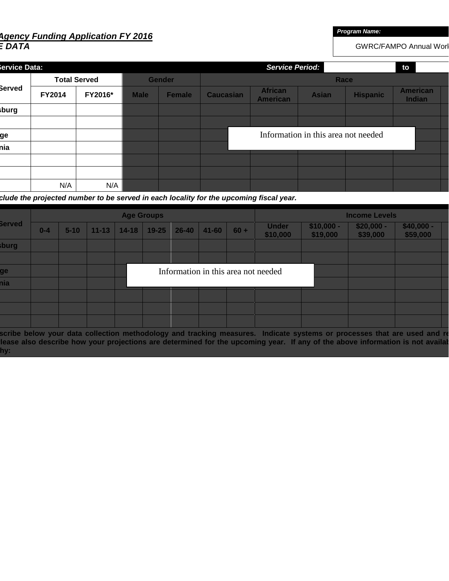# *Agency Funding Application FY 2016 E DATA*

*Program Name:*

GWRC/FAMPO Annual Worl

| iervice Data: |               |                     | <b>Service Period:</b><br>to |               |                                     |                                   |              |                 |                           |  |  |
|---------------|---------------|---------------------|------------------------------|---------------|-------------------------------------|-----------------------------------|--------------|-----------------|---------------------------|--|--|
|               |               | <b>Total Served</b> |                              | <b>Gender</b> | Race                                |                                   |              |                 |                           |  |  |
| Berved        | <b>FY2014</b> | FY2016*             | <b>Male</b>                  | <b>Female</b> | <b>Caucasian</b>                    | <b>African</b><br><b>American</b> | <b>Asian</b> | <b>Hispanic</b> | <b>American</b><br>Indian |  |  |
| burg          |               |                     |                              |               |                                     |                                   |              |                 |                           |  |  |
|               |               |                     |                              |               |                                     |                                   |              |                 |                           |  |  |
| ge            |               |                     |                              |               | Information in this area not needed |                                   |              |                 |                           |  |  |
| hia           |               |                     |                              |               |                                     |                                   |              |                 |                           |  |  |
|               |               |                     |                              |               |                                     |                                   |              |                 |                           |  |  |
|               |               |                     |                              |               |                                     |                                   |              |                 |                           |  |  |
|               | N/A           | N/A                 |                              |               |                                     |                                   |              |                 |                           |  |  |

 *clude the projected number to be served in each locality for the upcoming fiscal year.*

|               |         | <b>Age Groups</b> |           |           |           |           |                                     |        |                          | <b>Income Levels</b>    |                         |                         |  |  |
|---------------|---------|-------------------|-----------|-----------|-----------|-----------|-------------------------------------|--------|--------------------------|-------------------------|-------------------------|-------------------------|--|--|
| <b>Served</b> | $0 - 4$ | $5 - 10$          | $11 - 13$ | $14 - 18$ | $19 - 25$ | $26 - 40$ | $41 - 60$                           | $60 +$ | <b>Under</b><br>\$10,000 | $$10,000 -$<br>\$19,000 | $$20,000 -$<br>\$39,000 | $$40,000 -$<br>\$59,000 |  |  |
| sburg         |         |                   |           |           |           |           |                                     |        |                          |                         |                         |                         |  |  |
|               |         |                   |           |           |           |           |                                     |        |                          |                         |                         |                         |  |  |
| ge            |         |                   |           |           |           |           | Information in this area not needed |        |                          |                         |                         |                         |  |  |
| hia           |         |                   |           |           |           |           |                                     |        |                          |                         |                         |                         |  |  |
|               |         |                   |           |           |           |           |                                     |        |                          |                         |                         |                         |  |  |
|               |         |                   |           |           |           |           |                                     |        |                          |                         |                         |                         |  |  |
|               |         |                   |           |           |           |           |                                     |        |                          |                         |                         |                         |  |  |

 **scribe below your data collection methodology and tracking measures. Indicate systems or processes that are used and re**  lease also describe how your projections are determined for the upcoming year. If any of the above information is not availal  **hy:**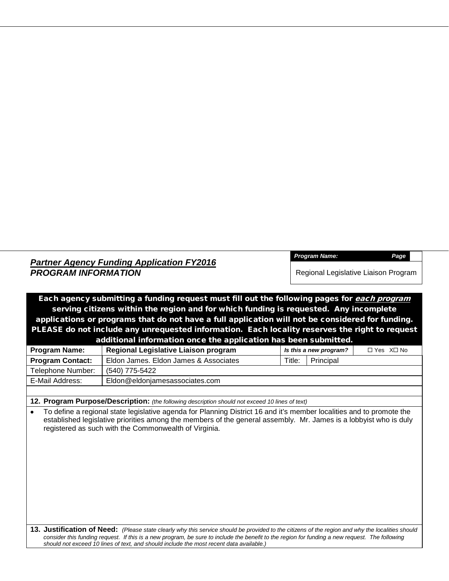*Program Name: Page*

Regional Legislative Liaison Program

Each agency submitting a funding request must fill out the following pages for *each program* serving citizens within the region and for which funding is requested. Any incomplete applications or programs that do not have a full application will not be considered for funding. PLEASE do not include any unrequested information. Each locality reserves the right to request additional information once the application has been submitted.

| <b>Program Name:</b>    | Regional Legislative Liaison program  |        | Is this a new program? | $\Box$ Yes $X \Box$ No |
|-------------------------|---------------------------------------|--------|------------------------|------------------------|
| <b>Program Contact:</b> | Eldon James, Eldon James & Associates | Title: | Principal              |                        |
| Telephone Number:       | (540) 775-5422                        |        |                        |                        |
| E-Mail Address:         | Eldon@eldonjamesassociates.com        |        |                        |                        |
|                         |                                       |        |                        |                        |

**12. Program Purpose/Description:** *(the following description should not exceed 10 lines of text)*

• To define a regional state legislative agenda for Planning District 16 and it's member localities and to promote the established legislative priorities among the members of the general assembly. Mr. James is a lobbyist who is duly registered as such with the Commonwealth of Virginia.

**13. Justification of Need:** *(Please state clearly why this service should be provided to the citizens of the region and why the localities should*  consider this funding request. If this is a new program, be sure to include the benefit to the region for funding a new request. The following *should not exceed 10 lines of text, and should include the most recent data available.)*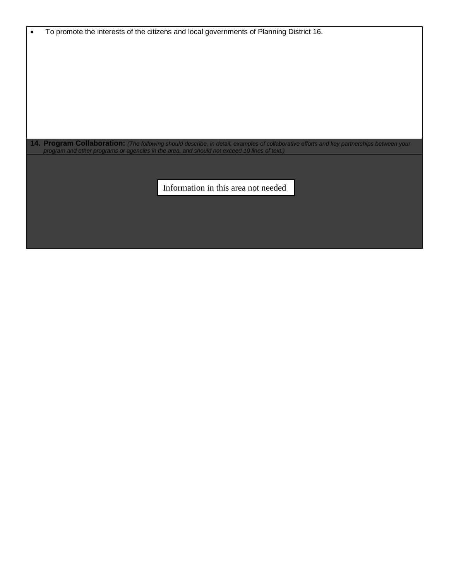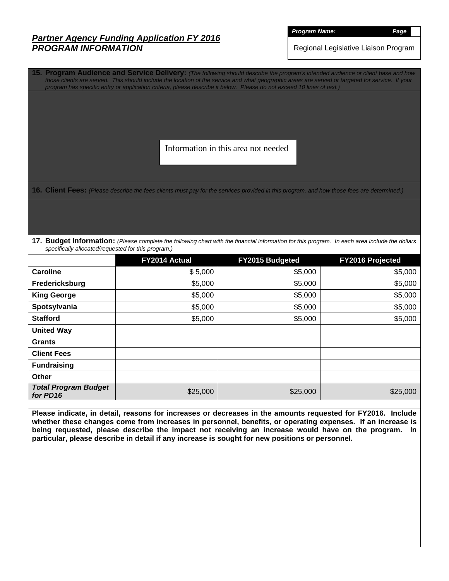*Program Name: Page*

Regional Legislative Liaison Program

**15. Program Audience and Service Delivery:** *(The following should describe the program's intended audience or client base and how those clients are served. This should include the location of the service and what geographic areas are served or targeted for service. If your program has specific entry or application criteria, please describe it below. Please do not exceed 10 lines of text.)*

Information in this area not needed

**16. Client Fees:** *(Please describe the fees clients must pay for the services provided in this program, and how those fees are determined.)*

**17. Budget Information:** *(Please complete the following chart with the financial information for this program. In each area include the dollars specifically allocated/requested for this program.)*

|                                         | FY2014 Actual | FY2015 Budgeted | FY2016 Projected |
|-----------------------------------------|---------------|-----------------|------------------|
| <b>Caroline</b>                         | \$5,000       | \$5,000         | \$5,000          |
| Fredericksburg                          | \$5,000       | \$5,000         | \$5,000          |
| <b>King George</b>                      | \$5,000       | \$5,000         | \$5,000          |
| Spotsylvania                            | \$5,000       | \$5,000         | \$5,000          |
| <b>Stafford</b>                         | \$5,000       | \$5,000         | \$5,000          |
| <b>United Way</b>                       |               |                 |                  |
| <b>Grants</b>                           |               |                 |                  |
| <b>Client Fees</b>                      |               |                 |                  |
| <b>Fundraising</b>                      |               |                 |                  |
| <b>Other</b>                            |               |                 |                  |
| <b>Total Program Budget</b><br>for PD16 | \$25,000      | \$25,000        | \$25,000         |

**Please indicate, in detail, reasons for increases or decreases in the amounts requested for FY2016. Include whether these changes come from increases in personnel, benefits, or operating expenses. If an increase is being requested, please describe the impact not receiving an increase would have on the program. In particular, please describe in detail if any increase is sought for new positions or personnel.**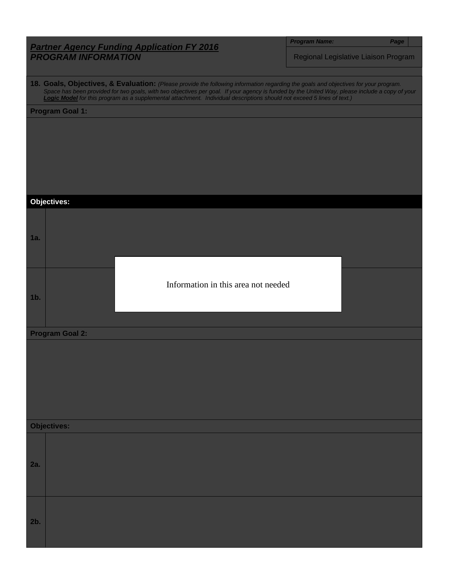|  | <b>Program Name</b> |  |
|--|---------------------|--|
|  |                     |  |

*Program Name: Page*

Regional Legislative Liaison Program

**18. Goals, Objectives, & Evaluation:** *(Please provide the following information regarding the goals and objectives for your program. Space has been provided for two goals, with two objectives per goal. If your agency is funded by the United Way, please include a copy of your Logic Model for this program as a supplemental attachment. Individual descriptions should not exceed 5 lines of text.)*

**Program Goal 1:**

**Objectives: 1a. 1b. Program Goal 2: Objectives: 2a. 2b.** Information in this area not needed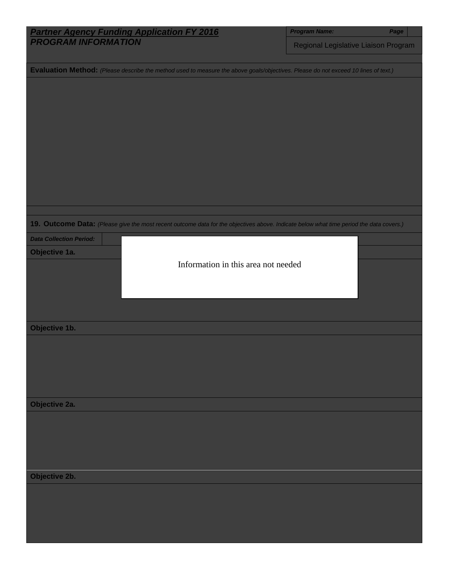|                                                                                                                                         | <b>Program Name:</b>                 | Page |  |
|-----------------------------------------------------------------------------------------------------------------------------------------|--------------------------------------|------|--|
| <b>Partner Agency Funding Application FY 2016</b><br>PROGRAM INFORMATION                                                                | Regional Legislative Liaison Program |      |  |
|                                                                                                                                         |                                      |      |  |
| Evaluation Method: (Please describe the method used to measure the above goals/objectives. Please do not exceed 10 lines of text.)      |                                      |      |  |
|                                                                                                                                         |                                      |      |  |
|                                                                                                                                         |                                      |      |  |
|                                                                                                                                         |                                      |      |  |
|                                                                                                                                         |                                      |      |  |
|                                                                                                                                         |                                      |      |  |
|                                                                                                                                         |                                      |      |  |
|                                                                                                                                         |                                      |      |  |
|                                                                                                                                         |                                      |      |  |
|                                                                                                                                         |                                      |      |  |
|                                                                                                                                         |                                      |      |  |
|                                                                                                                                         |                                      |      |  |
| 19. Outcome Data: (Please give the most recent outcome data for the objectives above. Indicate below what time period the data covers.) |                                      |      |  |
| <b>Data Collection Period:</b>                                                                                                          |                                      |      |  |
| Objective 1a.                                                                                                                           |                                      |      |  |
| Information in this area not needed                                                                                                     |                                      |      |  |
|                                                                                                                                         |                                      |      |  |
|                                                                                                                                         |                                      |      |  |
|                                                                                                                                         |                                      |      |  |
| Objective 1b.                                                                                                                           |                                      |      |  |
|                                                                                                                                         |                                      |      |  |
|                                                                                                                                         |                                      |      |  |
|                                                                                                                                         |                                      |      |  |
|                                                                                                                                         |                                      |      |  |
|                                                                                                                                         |                                      |      |  |
| Objective 2a.                                                                                                                           |                                      |      |  |
|                                                                                                                                         |                                      |      |  |
|                                                                                                                                         |                                      |      |  |
|                                                                                                                                         |                                      |      |  |
|                                                                                                                                         |                                      |      |  |
| Objective 2b.                                                                                                                           |                                      |      |  |
|                                                                                                                                         |                                      |      |  |
|                                                                                                                                         |                                      |      |  |
|                                                                                                                                         |                                      |      |  |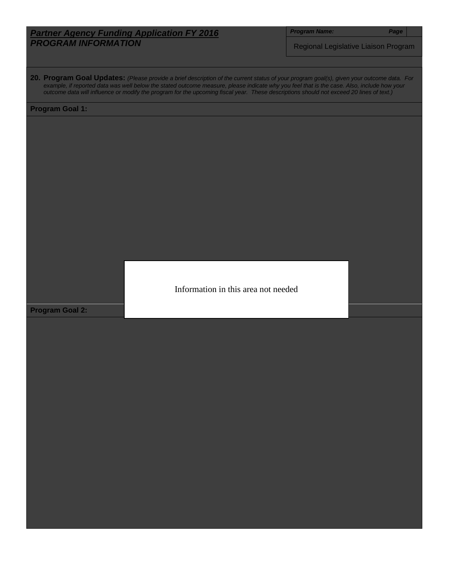*Program Name: Page*

Regional Legislative Liaison Program

**20. Program Goal Updates:** *(Please provide a brief description of the current status of your program goal(s), given your outcome data. For example, if reported data was well below the stated outcome measure, please indicate why you feel that is the case. Also, include how your outcome data will influence or modify the program for the upcoming fiscal year. These descriptions should not exceed 20 lines of text.)*

#### **Program Goal 1:**

Information in this area not needed

**Program Goal 2:**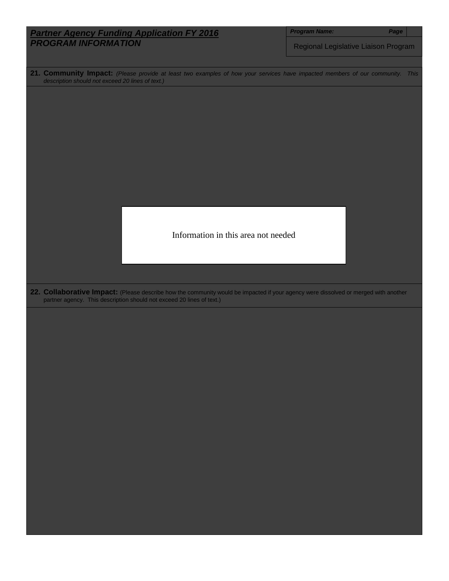|                                                                                                                                                                                                              | <b>Program Name:</b><br>Page         |  |  |
|--------------------------------------------------------------------------------------------------------------------------------------------------------------------------------------------------------------|--------------------------------------|--|--|
| <b>Partner Agency Funding Application FY 2016</b><br><b>PROGRAM INFORMATION</b>                                                                                                                              | Regional Legislative Liaison Program |  |  |
|                                                                                                                                                                                                              |                                      |  |  |
|                                                                                                                                                                                                              |                                      |  |  |
| 21. Community Impact: (Please provide at least two examples of how your services have impacted members of our community. This<br>description should not exceed 20 lines of text.)                            |                                      |  |  |
|                                                                                                                                                                                                              |                                      |  |  |
|                                                                                                                                                                                                              |                                      |  |  |
|                                                                                                                                                                                                              |                                      |  |  |
|                                                                                                                                                                                                              |                                      |  |  |
|                                                                                                                                                                                                              |                                      |  |  |
|                                                                                                                                                                                                              |                                      |  |  |
|                                                                                                                                                                                                              |                                      |  |  |
|                                                                                                                                                                                                              |                                      |  |  |
|                                                                                                                                                                                                              |                                      |  |  |
|                                                                                                                                                                                                              |                                      |  |  |
|                                                                                                                                                                                                              |                                      |  |  |
| Information in this area not needed                                                                                                                                                                          |                                      |  |  |
|                                                                                                                                                                                                              |                                      |  |  |
|                                                                                                                                                                                                              |                                      |  |  |
|                                                                                                                                                                                                              |                                      |  |  |
|                                                                                                                                                                                                              |                                      |  |  |
| 22. Collaborative Impact: (Please describe how the community would be impacted if your agency were dissolved or merged with another<br>partner agency. This description should not exceed 20 lines of text.) |                                      |  |  |
|                                                                                                                                                                                                              |                                      |  |  |
|                                                                                                                                                                                                              |                                      |  |  |
|                                                                                                                                                                                                              |                                      |  |  |
|                                                                                                                                                                                                              |                                      |  |  |
|                                                                                                                                                                                                              |                                      |  |  |
|                                                                                                                                                                                                              |                                      |  |  |
|                                                                                                                                                                                                              |                                      |  |  |
|                                                                                                                                                                                                              |                                      |  |  |
|                                                                                                                                                                                                              |                                      |  |  |
|                                                                                                                                                                                                              |                                      |  |  |
|                                                                                                                                                                                                              |                                      |  |  |
|                                                                                                                                                                                                              |                                      |  |  |
|                                                                                                                                                                                                              |                                      |  |  |
|                                                                                                                                                                                                              |                                      |  |  |
|                                                                                                                                                                                                              |                                      |  |  |
|                                                                                                                                                                                                              |                                      |  |  |
|                                                                                                                                                                                                              |                                      |  |  |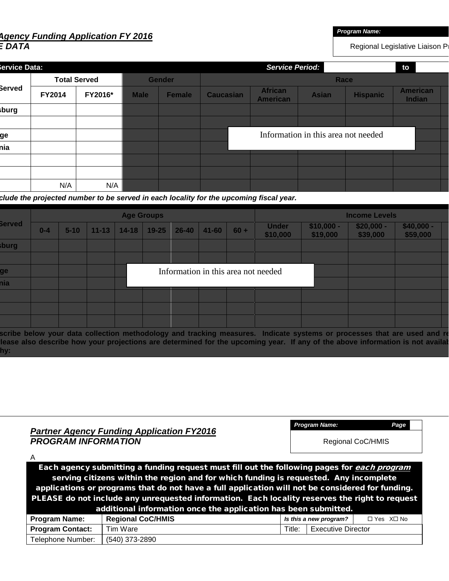## *Agency Funding Application FY 2016 E DATA*

*Program Name:*

*Program Name: Page*

Regional Legislative Liaison P

| iervice Data: |               |                     |             | <b>Service Period:</b><br>to |                  |                                   |                                     |                 |                           |  |
|---------------|---------------|---------------------|-------------|------------------------------|------------------|-----------------------------------|-------------------------------------|-----------------|---------------------------|--|
|               |               | <b>Total Served</b> |             | <b>Gender</b>                |                  |                                   | Race                                |                 |                           |  |
| Berved        | <b>FY2014</b> | FY2016*             | <b>Male</b> | <b>Female</b>                | <b>Caucasian</b> | <b>African</b><br><b>American</b> | <b>Asian</b>                        | <b>Hispanic</b> | <b>American</b><br>Indian |  |
| sburg         |               |                     |             |                              |                  |                                   |                                     |                 |                           |  |
|               |               |                     |             |                              |                  |                                   |                                     |                 |                           |  |
| ge            |               |                     |             |                              |                  |                                   | Information in this area not needed |                 |                           |  |
| hia           |               |                     |             |                              |                  |                                   |                                     |                 |                           |  |
|               |               |                     |             |                              |                  |                                   |                                     |                 |                           |  |
|               |               |                     |             |                              |                  |                                   |                                     |                 |                           |  |
|               | N/A           | N/A                 |             |                              |                  |                                   |                                     |                 |                           |  |

 *clude the projected number to be served in each locality for the upcoming fiscal year.*

|               |         |          |           |           | <b>Age Groups</b> |           |           |        |                                     |                         | <b>Income Levels</b>    |                         |  |
|---------------|---------|----------|-----------|-----------|-------------------|-----------|-----------|--------|-------------------------------------|-------------------------|-------------------------|-------------------------|--|
| <b>Served</b> | $0 - 4$ | $5 - 10$ | $11 - 13$ | $14 - 18$ | $19 - 25$         | $26 - 40$ | $41 - 60$ | $60 +$ | <b>Under</b><br>\$10,000            | $$10,000 -$<br>\$19,000 | $$20,000 -$<br>\$39,000 | $$40,000 -$<br>\$59,000 |  |
| sburg         |         |          |           |           |                   |           |           |        |                                     |                         |                         |                         |  |
|               |         |          |           |           |                   |           |           |        |                                     |                         |                         |                         |  |
| ge            |         |          |           |           |                   |           |           |        | Information in this area not needed |                         |                         |                         |  |
| nia           |         |          |           |           |                   |           |           |        |                                     |                         |                         |                         |  |
|               |         |          |           |           |                   |           |           |        |                                     |                         |                         |                         |  |
|               |         |          |           |           |                   |           |           |        |                                     |                         |                         |                         |  |
|               |         |          |           |           |                   |           |           |        |                                     |                         |                         |                         |  |

 **scribe below your data collection methodology and tracking measures. Indicate systems or processes that are used and re**  lease also describe how your projections are determined for the upcoming year. If any of the above information is not availal  **hy:**

| <b>PROGRAM INFORMATION</b>                                      | <b>Partner Agency Funding Application FY2016</b>                                                                                                                                                                                                                                                                                                                                           |        | Regional CoC/HMIS         | , ago                  |  |
|-----------------------------------------------------------------|--------------------------------------------------------------------------------------------------------------------------------------------------------------------------------------------------------------------------------------------------------------------------------------------------------------------------------------------------------------------------------------------|--------|---------------------------|------------------------|--|
| Α                                                               | Each agency submitting a funding request must fill out the following pages for each program<br>serving citizens within the region and for which funding is requested. Any incomplete<br>applications or programs that do not have a full application will not be considered for funding.<br>PLEASE do not include any unrequested information. Each locality reserves the right to request |        |                           |                        |  |
| additional information once the application has been submitted. |                                                                                                                                                                                                                                                                                                                                                                                            |        |                           |                        |  |
| <b>Program Name:</b>                                            | <b>Regional CoC/HMIS</b>                                                                                                                                                                                                                                                                                                                                                                   |        | Is this a new program?    | $\Box$ Yes $X \Box$ No |  |
| <b>Program Contact:</b>                                         | Tim Ware                                                                                                                                                                                                                                                                                                                                                                                   | Title: | <b>Executive Director</b> |                        |  |
| Telephone Number:                                               | (540) 373-2890                                                                                                                                                                                                                                                                                                                                                                             |        |                           |                        |  |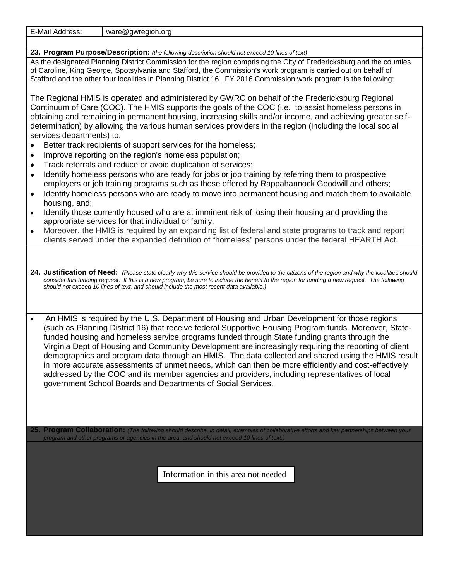| E-Mail<br>Address. | ware $\omega$<br>. oro<br>awreaion. |
|--------------------|-------------------------------------|
|                    |                                     |

#### **23. Program Purpose/Description:** *(the following description should not exceed 10 lines of text)*

As the designated Planning District Commission for the region comprising the City of Fredericksburg and the counties of Caroline, King George, Spotsylvania and Stafford, the Commission's work program is carried out on behalf of Stafford and the other four localities in Planning District 16. FY 2016 Commission work program is the following:

The Regional HMIS is operated and administered by GWRC on behalf of the Fredericksburg Regional Continuum of Care (COC). The HMIS supports the goals of the COC (i.e. to assist homeless persons in obtaining and remaining in permanent housing, increasing skills and/or income, and achieving greater selfdetermination) by allowing the various human services providers in the region (including the local social services departments) to:

- Better track recipients of support services for the homeless;
- Improve reporting on the region's homeless population;
- Track referrals and reduce or avoid duplication of services;
- Identify homeless persons who are ready for jobs or job training by referring them to prospective employers or job training programs such as those offered by Rappahannock Goodwill and others;
- Identify homeless persons who are ready to move into permanent housing and match them to available housing, and;
- Identify those currently housed who are at imminent risk of losing their housing and providing the appropriate services for that individual or family.
- Moreover, the HMIS is required by an expanding list of federal and state programs to track and report clients served under the expanded definition of "homeless" persons under the federal HEARTH Act.

**24. Justification of Need:** *(Please state clearly why this service should be provided to the citizens of the region and why the localities should consider this funding request. If this is a new program, be sure to include the benefit to the region for funding a new request. The following should not exceed 10 lines of text, and should include the most recent data available.)*

• An HMIS is required by the U.S. Department of Housing and Urban Development for those regions (such as Planning District 16) that receive federal Supportive Housing Program funds. Moreover, Statefunded housing and homeless service programs funded through State funding grants through the Virginia Dept of Housing and Community Development are increasingly requiring the reporting of client demographics and program data through an HMIS. The data collected and shared using the HMIS result in more accurate assessments of unmet needs, which can then be more efficiently and cost-effectively addressed by the COC and its member agencies and providers, including representatives of local government School Boards and Departments of Social Services.

**25. Program Collaboration:** *(The following should describe, in detail, examples of collaborative efforts and key partnerships between your program and other programs or agencies in the area, and should not exceed 10 lines of text.)*

Information in this area not needed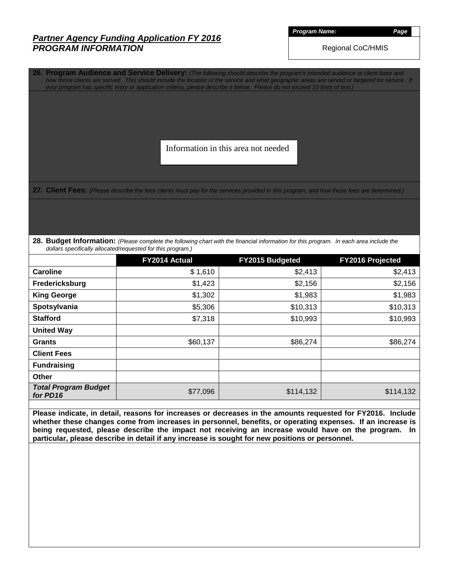*Program Name: Page*

Regional CoC/HMIS

**26. Program Audience and Service Delivery:** *(The following should describe the program's intended audience or client base and how those clients are served. This should include the location of the service and what geographic areas are served or targeted for service. If your program has specific entry or application criteria, please describe it below. Please do not exceed 10 lines of text.)*

Information in this area not needed

27. Client Fees: (Please describe the fees clients must pay for the services provided in this program, and how those fees are determined.)

**28. Budget Information:** *(Please complete the following chart with the financial information for this program. In each area include the dollars specifically allocated/requested for this program.)*

|                                         | FY2014 Actual | FY2015 Budgeted | FY2016 Projected |
|-----------------------------------------|---------------|-----------------|------------------|
| <b>Caroline</b>                         | \$1,610       | \$2,413         | \$2,413          |
| Fredericksburg                          | \$1,423       | \$2,156         | \$2,156          |
| <b>King George</b>                      | \$1,302       | \$1,983         | \$1,983          |
| Spotsylvania                            | \$5,306       | \$10,313        | \$10,313         |
| <b>Stafford</b>                         | \$7,318       | \$10,993        | \$10,993         |
| <b>United Way</b>                       |               |                 |                  |
| <b>Grants</b>                           | \$60,137      | \$86,274        | \$86,274         |
| <b>Client Fees</b>                      |               |                 |                  |
| <b>Fundraising</b>                      |               |                 |                  |
| Other                                   |               |                 |                  |
| <b>Total Program Budget</b><br>for PD16 | \$77,096      | \$114,132       | \$114,132        |

**Please indicate, in detail, reasons for increases or decreases in the amounts requested for FY2016. Include whether these changes come from increases in personnel, benefits, or operating expenses. If an increase is being requested, please describe the impact not receiving an increase would have on the program. In particular, please describe in detail if any increase is sought for new positions or personnel.**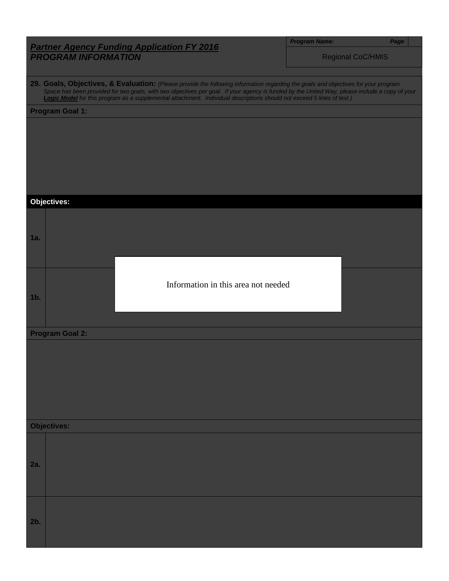| <b>Program Name</b> |  |  |
|---------------------|--|--|
|                     |  |  |
|                     |  |  |

*Program Name: Page*

Regional CoC/HMIS

**29. Goals, Objectives, & Evaluation:** *(Please provide the following information regarding the goals and objectives for your program. Space has been provided for two goals, with two objectives per goal. If your agency is funded by the United Way, please include a copy of your Logic Model for this program as a supplemental attachment. Individual descriptions should not exceed 5 lines of text.)*

**Program Goal 1:**

**Objectives: 1a. 1b. Program Goal 2: Objectives: 2a. 2b.** Information in this area not needed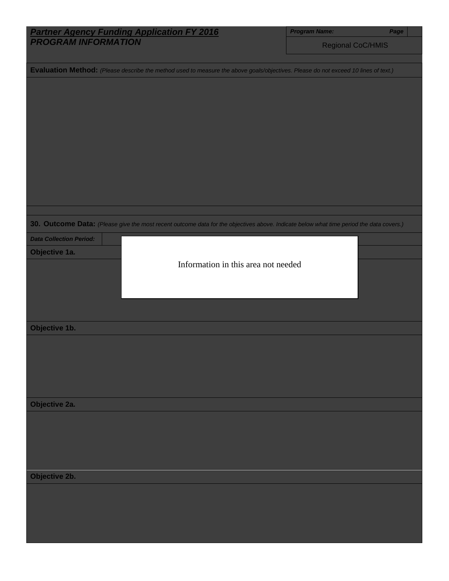| Regional CoC/HMIS<br>Evaluation Method: (Please describe the method used to measure the above goals/objectives. Please do not exceed 10 lines of text.)<br>30. Outcome Data: (Please give the most recent outcome data for the objectives above. Indicate below what time period the data covers.)<br><b>Data Collection Period:</b><br>Objective 1a.<br>Information in this area not needed<br>Objective 1b. | <b>Partner Agency Funding Application FY 2016</b><br>PROGRAM INFORMATION | <b>Program Name:</b> | Page |
|---------------------------------------------------------------------------------------------------------------------------------------------------------------------------------------------------------------------------------------------------------------------------------------------------------------------------------------------------------------------------------------------------------------|--------------------------------------------------------------------------|----------------------|------|
|                                                                                                                                                                                                                                                                                                                                                                                                               |                                                                          |                      |      |
|                                                                                                                                                                                                                                                                                                                                                                                                               |                                                                          |                      |      |
|                                                                                                                                                                                                                                                                                                                                                                                                               |                                                                          |                      |      |
|                                                                                                                                                                                                                                                                                                                                                                                                               |                                                                          |                      |      |
|                                                                                                                                                                                                                                                                                                                                                                                                               |                                                                          |                      |      |
|                                                                                                                                                                                                                                                                                                                                                                                                               |                                                                          |                      |      |
|                                                                                                                                                                                                                                                                                                                                                                                                               |                                                                          |                      |      |
|                                                                                                                                                                                                                                                                                                                                                                                                               |                                                                          |                      |      |
|                                                                                                                                                                                                                                                                                                                                                                                                               |                                                                          |                      |      |
|                                                                                                                                                                                                                                                                                                                                                                                                               |                                                                          |                      |      |
|                                                                                                                                                                                                                                                                                                                                                                                                               |                                                                          |                      |      |
|                                                                                                                                                                                                                                                                                                                                                                                                               |                                                                          |                      |      |
|                                                                                                                                                                                                                                                                                                                                                                                                               |                                                                          |                      |      |
|                                                                                                                                                                                                                                                                                                                                                                                                               |                                                                          |                      |      |
|                                                                                                                                                                                                                                                                                                                                                                                                               |                                                                          |                      |      |
|                                                                                                                                                                                                                                                                                                                                                                                                               |                                                                          |                      |      |
|                                                                                                                                                                                                                                                                                                                                                                                                               |                                                                          |                      |      |
|                                                                                                                                                                                                                                                                                                                                                                                                               |                                                                          |                      |      |
|                                                                                                                                                                                                                                                                                                                                                                                                               |                                                                          |                      |      |
|                                                                                                                                                                                                                                                                                                                                                                                                               |                                                                          |                      |      |
|                                                                                                                                                                                                                                                                                                                                                                                                               |                                                                          |                      |      |
|                                                                                                                                                                                                                                                                                                                                                                                                               |                                                                          |                      |      |
|                                                                                                                                                                                                                                                                                                                                                                                                               |                                                                          |                      |      |
|                                                                                                                                                                                                                                                                                                                                                                                                               |                                                                          |                      |      |
|                                                                                                                                                                                                                                                                                                                                                                                                               |                                                                          |                      |      |
|                                                                                                                                                                                                                                                                                                                                                                                                               |                                                                          |                      |      |
|                                                                                                                                                                                                                                                                                                                                                                                                               |                                                                          |                      |      |
|                                                                                                                                                                                                                                                                                                                                                                                                               | Objective 2a.                                                            |                      |      |
|                                                                                                                                                                                                                                                                                                                                                                                                               |                                                                          |                      |      |
|                                                                                                                                                                                                                                                                                                                                                                                                               |                                                                          |                      |      |
|                                                                                                                                                                                                                                                                                                                                                                                                               |                                                                          |                      |      |
|                                                                                                                                                                                                                                                                                                                                                                                                               |                                                                          |                      |      |
|                                                                                                                                                                                                                                                                                                                                                                                                               | Objective 2b.                                                            |                      |      |
|                                                                                                                                                                                                                                                                                                                                                                                                               |                                                                          |                      |      |
|                                                                                                                                                                                                                                                                                                                                                                                                               |                                                                          |                      |      |
|                                                                                                                                                                                                                                                                                                                                                                                                               |                                                                          |                      |      |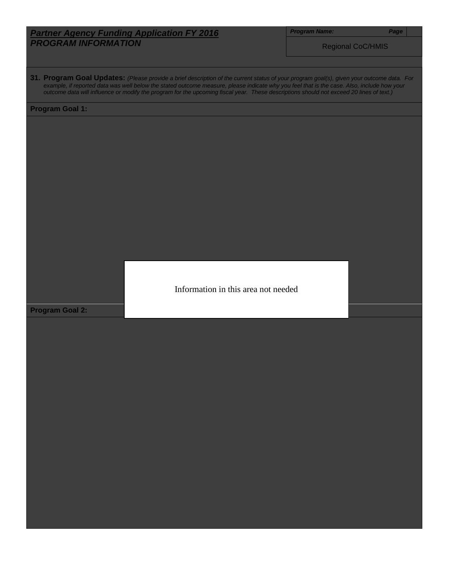*Program Name: Page*

Regional CoC/HMIS

**31. Program Goal Updates:** *(Please provide a brief description of the current status of your program goal(s), given your outcome data. For example, if reported data was well below the stated outcome measure, please indicate why you feel that is the case. Also, include how your outcome data will influence or modify the program for the upcoming fiscal year. These descriptions should not exceed 20 lines of text.)*

### **Program Goal 1:**

Information in this area not needed

**Program Goal 2:**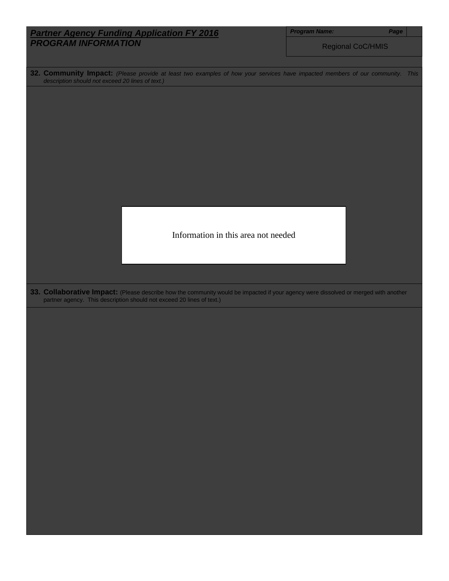|                                                                                                                                     | <b>Program Name:</b><br>Page |
|-------------------------------------------------------------------------------------------------------------------------------------|------------------------------|
| <b>Partner Agency Funding Application FY 2016</b><br><b>PROGRAM INFORMATION</b>                                                     | <b>Regional CoC/HMIS</b>     |
| 32. Community Impact: (Please provide at least two examples of how your services have impacted members of our community. This       |                              |
| description should not exceed 20 lines of text.)                                                                                    |                              |
|                                                                                                                                     |                              |
|                                                                                                                                     |                              |
|                                                                                                                                     |                              |
|                                                                                                                                     |                              |
|                                                                                                                                     |                              |
|                                                                                                                                     |                              |
|                                                                                                                                     |                              |
|                                                                                                                                     |                              |
|                                                                                                                                     |                              |
| Information in this area not needed                                                                                                 |                              |
|                                                                                                                                     |                              |
|                                                                                                                                     |                              |
| 33. Collaborative Impact: (Please describe how the community would be impacted if your agency were dissolved or merged with another |                              |
| partner agency. This description should not exceed 20 lines of text.)                                                               |                              |
|                                                                                                                                     |                              |
|                                                                                                                                     |                              |
|                                                                                                                                     |                              |
|                                                                                                                                     |                              |
|                                                                                                                                     |                              |
|                                                                                                                                     |                              |
|                                                                                                                                     |                              |
|                                                                                                                                     |                              |
|                                                                                                                                     |                              |
|                                                                                                                                     |                              |
|                                                                                                                                     |                              |
|                                                                                                                                     |                              |
|                                                                                                                                     |                              |
|                                                                                                                                     |                              |